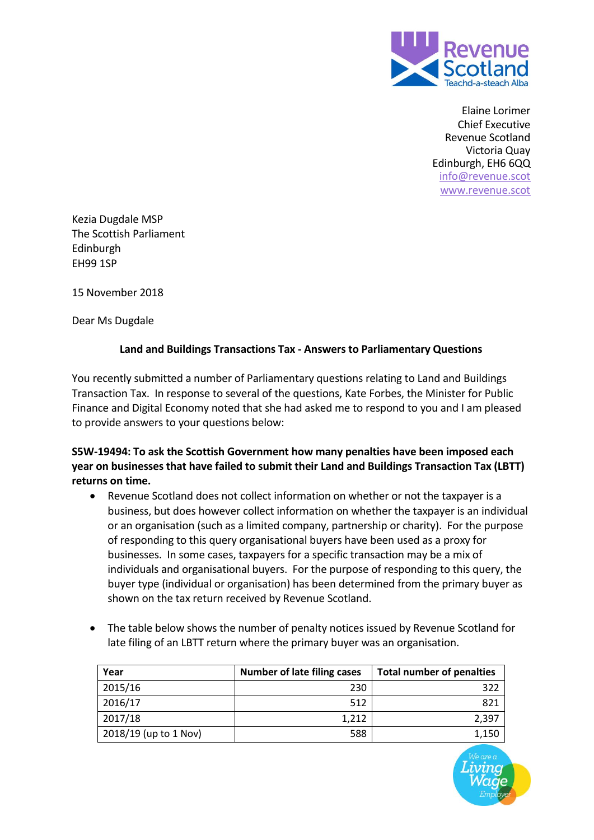

 Elaine Lorimer Chief Executive Revenue Scotland Victoria Quay Edinburgh, EH6 6QQ [info@revenue.scot](mailto:info@revenue.scot) [www.revenue.scot](https://www.revenue.scot/)

Kezia Dugdale MSP The Scottish Parliament Edinburgh EH99 1SP

15 November 2018

Dear Ms Dugdale

## **Land and Buildings Transactions Tax - Answers to Parliamentary Questions**

You recently submitted a number of Parliamentary questions relating to Land and Buildings Transaction Tax. In response to several of the questions, Kate Forbes, the Minister for Public Finance and Digital Economy noted that she had asked me to respond to you and I am pleased to provide answers to your questions below:

**S5W-19494: To ask the Scottish Government how many penalties have been imposed each year on businesses that have failed to submit their Land and Buildings Transaction Tax (LBTT) returns on time.**

- Revenue Scotland does not collect information on whether or not the taxpayer is a business, but does however collect information on whether the taxpayer is an individual or an organisation (such as a limited company, partnership or charity). For the purpose of responding to this query organisational buyers have been used as a proxy for businesses. In some cases, taxpayers for a specific transaction may be a mix of individuals and organisational buyers. For the purpose of responding to this query, the buyer type (individual or organisation) has been determined from the primary buyer as shown on the tax return received by Revenue Scotland.
- The table below shows the number of penalty notices issued by Revenue Scotland for late filing of an LBTT return where the primary buyer was an organisation.

| Year                  | <b>Number of late filing cases</b> | <b>Total number of penalties</b> |
|-----------------------|------------------------------------|----------------------------------|
| 2015/16               | 230                                | 322                              |
| 2016/17               | 512                                | 821                              |
| 2017/18               | 1,212                              | 2.397                            |
| 2018/19 (up to 1 Nov) | 588                                | 1,150                            |

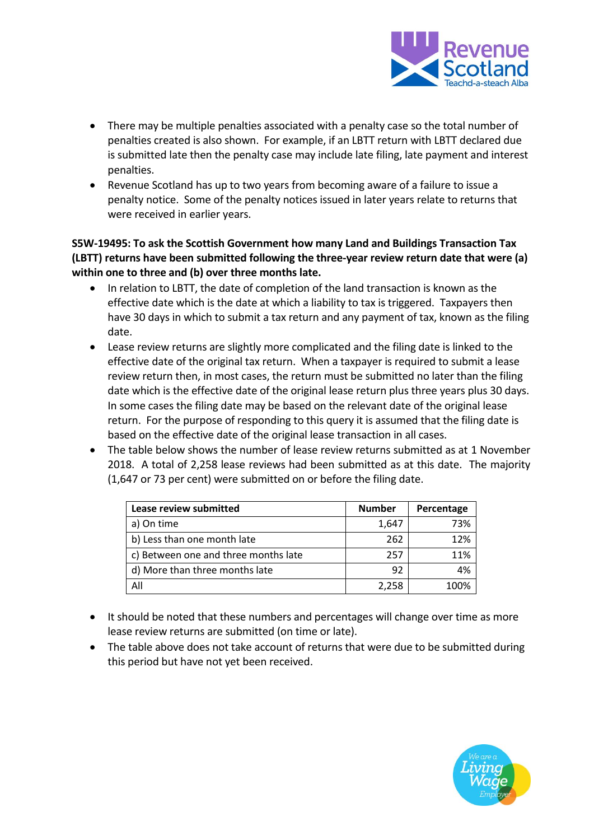

- There may be multiple penalties associated with a penalty case so the total number of penalties created is also shown. For example, if an LBTT return with LBTT declared due is submitted late then the penalty case may include late filing, late payment and interest penalties.
- Revenue Scotland has up to two years from becoming aware of a failure to issue a penalty notice. Some of the penalty notices issued in later years relate to returns that were received in earlier years.

**S5W-19495: To ask the Scottish Government how many Land and Buildings Transaction Tax (LBTT) returns have been submitted following the three-year review return date that were (a) within one to three and (b) over three months late.**

- In relation to LBTT, the date of completion of the land transaction is known as the effective date which is the date at which a liability to tax is triggered. Taxpayers then have 30 days in which to submit a tax return and any payment of tax, known as the filing date.
- Lease review returns are slightly more complicated and the filing date is linked to the effective date of the original tax return. When a taxpayer is required to submit a lease review return then, in most cases, the return must be submitted no later than the filing date which is the effective date of the original lease return plus three years plus 30 days. In some cases the filing date may be based on the relevant date of the original lease return. For the purpose of responding to this query it is assumed that the filing date is based on the effective date of the original lease transaction in all cases.
- The table below shows the number of lease review returns submitted as at 1 November 2018. A total of 2,258 lease reviews had been submitted as at this date. The majority (1,647 or 73 per cent) were submitted on or before the filing date.

| Lease review submitted               | <b>Number</b> | Percentage |
|--------------------------------------|---------------|------------|
| a) On time                           | 1,647         | 73%        |
| b) Less than one month late          | 262           | 12%        |
| c) Between one and three months late | 257           | 11%        |
| d) More than three months late       | 92            | 4%         |
| All                                  | 2,258         | 1በበ%       |

- It should be noted that these numbers and percentages will change over time as more lease review returns are submitted (on time or late).
- The table above does not take account of returns that were due to be submitted during this period but have not yet been received.

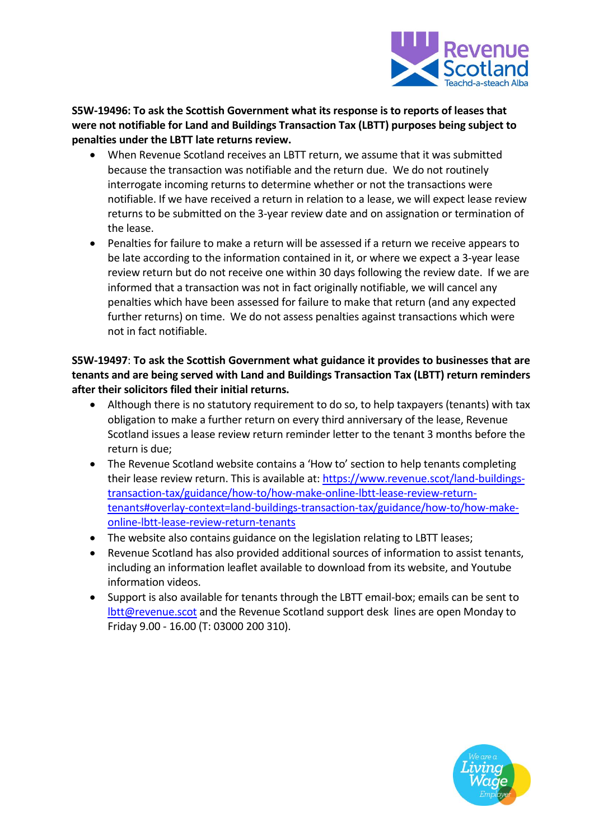

**S5W-19496: To ask the Scottish Government what its response is to reports of leases that were not notifiable for Land and Buildings Transaction Tax (LBTT) purposes being subject to penalties under the LBTT late returns review.**

- When Revenue Scotland receives an LBTT return, we assume that it was submitted because the transaction was notifiable and the return due. We do not routinely interrogate incoming returns to determine whether or not the transactions were notifiable. If we have received a return in relation to a lease, we will expect lease review returns to be submitted on the 3-year review date and on assignation or termination of the lease.
- Penalties for failure to make a return will be assessed if a return we receive appears to be late according to the information contained in it, or where we expect a 3-year lease review return but do not receive one within 30 days following the review date. If we are informed that a transaction was not in fact originally notifiable, we will cancel any penalties which have been assessed for failure to make that return (and any expected further returns) on time. We do not assess penalties against transactions which were not in fact notifiable.

**S5W-19497**: **To ask the Scottish Government what guidance it provides to businesses that are tenants and are being served with Land and Buildings Transaction Tax (LBTT) return reminders after their solicitors filed their initial returns.**

- Although there is no statutory requirement to do so, to help taxpayers (tenants) with tax obligation to make a further return on every third anniversary of the lease, Revenue Scotland issues a lease review return reminder letter to the tenant 3 months before the return is due;
- The Revenue Scotland website contains a 'How to' section to help tenants completing their lease review return. This is available at: [https://www.revenue.scot/land-buildings](https://www.revenue.scot/land-buildings-transaction-tax/guidance/how-to/how-make-online-lbtt-lease-review-return-tenants#overlay-context=land-buildings-transaction-tax/guidance/how-to/how-make-online-lbtt-lease-review-return-tenants)[transaction-tax/guidance/how-to/how-make-online-lbtt-lease-review-return](https://www.revenue.scot/land-buildings-transaction-tax/guidance/how-to/how-make-online-lbtt-lease-review-return-tenants#overlay-context=land-buildings-transaction-tax/guidance/how-to/how-make-online-lbtt-lease-review-return-tenants)[tenants#overlay-context=land-buildings-transaction-tax/guidance/how-to/how-make](https://www.revenue.scot/land-buildings-transaction-tax/guidance/how-to/how-make-online-lbtt-lease-review-return-tenants#overlay-context=land-buildings-transaction-tax/guidance/how-to/how-make-online-lbtt-lease-review-return-tenants)[online-lbtt-lease-review-return-tenants](https://www.revenue.scot/land-buildings-transaction-tax/guidance/how-to/how-make-online-lbtt-lease-review-return-tenants#overlay-context=land-buildings-transaction-tax/guidance/how-to/how-make-online-lbtt-lease-review-return-tenants)
- The website also contains guidance on the legislation relating to LBTT leases;
- Revenue Scotland has also provided additional sources of information to assist tenants, including an information leaflet available to download from its website, and Youtube information videos.
- Support is also available for tenants through the LBTT email-box; emails can be sent to [lbtt@revenue.scot](mailto:lbtt@revenue.scot) and the Revenue Scotland support desk lines are open Monday to Friday 9.00 - 16.00 (T: 03000 200 310).